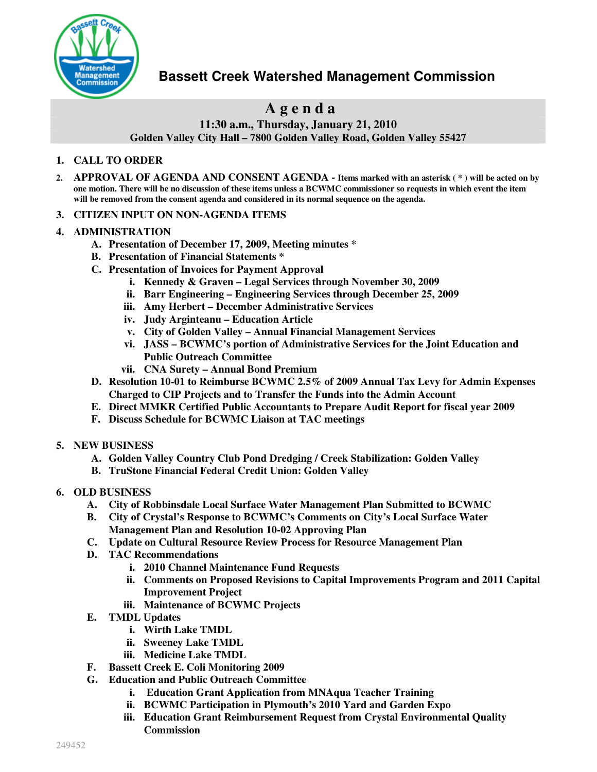

## **Bassett Creek Watershed Management Commission**

# **A g e n d a**

**11:30 a.m., Thursday, January 21, 2010**

**Golden Valley City Hall – 7800 Golden Valley Road, Golden Valley 55427**

#### **1. CALL TO ORDER**

- 2. APPROVAL OF AGENDA AND CONSENT AGENDA Items marked with an asterisk (\*) will be acted on by one motion. There will be no discussion of these items unless a BCWMC commissioner so requests in which event the item **will be removed from the consent agenda and considered in its normal sequence on the agenda.**
- **3. CITIZEN INPUT ON NON-AGENDA ITEMS**

#### **4. ADMINISTRATION**

- **A. Presentation of December 17, 2009, Meeting minutes \***
- **B. Presentation of Financial Statements \***
- **C. Presentation of Invoices for Payment Approval**
	- **i. Kennedy & Graven – Legal Services through November 30, 2009**
	- **ii. Barr Engineering – Engineering Services through December 25, 2009**
	- **iii. Amy Herbert – December Administrative Services**
	- **iv. Judy Arginteanu – Education Article**
	- **v. City of Golden Valley – Annual Financial Management Services**
	- **vi. JASS – BCWMC's portion of Administrative Services for the Joint Education and Public Outreach Committee**
	- **vii. CNA Surety – Annual Bond Premium**
- **D. Resolution 10-01 to Reimburse BCWMC 2.5% of 2009 Annual Tax Levy for Admin Expenses Charged to CIP Projects and to Transfer the Funds into the Admin Account**
- **E. Direct MMKR Certified Public Accountants to Prepare Audit Report for fiscal year 2009**
- **F. Discuss Schedule for BCWMC Liaison at TAC meetings**
- **5. NEW BUSINESS**
	- **A. Golden Valley Country Club Pond Dredging / Creek Stabilization: Golden Valley**
	- **B. TruStone Financial Federal Credit Union: Golden Valley**
- **6. OLD BUSINESS**
	- **A. City of Robbinsdale Local Surface Water Management Plan Submitted to BCWMC**
	- **B. City of Crystal's Response to BCWMC's Comments on City's Local Surface Water Management Plan and Resolution 10-02 Approving Plan**
	- **C. Update on Cultural Resource Review Process for Resource Management Plan**
	- **D. TAC Recommendations**
		- **i. 2010 Channel Maintenance Fund Requests**
		- **ii. Comments on Proposed Revisions to Capital Improvements Program and 2011 Capital Improvement Project**
		- **iii. Maintenance of BCWMC Projects**
	- **E. TMDL Updates**
		- **i. Wirth Lake TMDL**
		- **ii. Sweeney Lake TMDL**
		- **iii. Medicine Lake TMDL**
	- **F. Bassett Creek E. Coli Monitoring 2009**
	- **G. Education and Public Outreach Committee**
		- **i. Education Grant Application from MNAqua Teacher Training**
		- **ii. BCWMC Participation in Plymouth's 2010 Yard and Garden Expo**
		- **iii. Education Grant Reimbursement Request from Crystal Environmental Quality Commission**